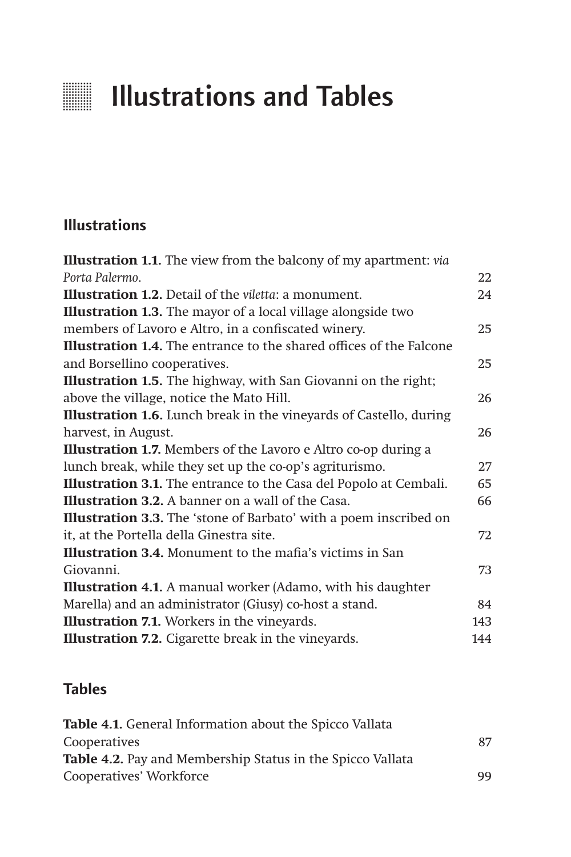## **Illustrations and Tables**

## **Illustrations**

| <b>Illustration 1.1.</b> The view from the balcony of my apartment: via    |     |
|----------------------------------------------------------------------------|-----|
| Porta Palermo.                                                             | 22  |
| <b>Illustration 1.2.</b> Detail of the <i>viletta</i> : a monument.        | 24  |
| <b>Illustration 1.3.</b> The mayor of a local village alongside two        |     |
| members of Lavoro e Altro, in a confiscated winery.                        | 25  |
| <b>Illustration 1.4.</b> The entrance to the shared offices of the Falcone |     |
| and Borsellino cooperatives.                                               | 25  |
| <b>Illustration 1.5.</b> The highway, with San Giovanni on the right;      |     |
| above the village, notice the Mato Hill.                                   | 26  |
| <b>Illustration 1.6.</b> Lunch break in the vineyards of Castello, during  |     |
| harvest, in August.                                                        | 26  |
| <b>Illustration 1.7.</b> Members of the Lavoro e Altro co-op during a      |     |
| lunch break, while they set up the co-op's agriturismo.                    | 27  |
| Illustration 3.1. The entrance to the Casa del Popolo at Cembali.          | 65  |
| <b>Illustration 3.2.</b> A banner on a wall of the Casa.                   | 66  |
| <b>Illustration 3.3.</b> The 'stone of Barbato' with a poem inscribed on   |     |
| it, at the Portella della Ginestra site.                                   | 72  |
| <b>Illustration 3.4.</b> Monument to the mafia's victims in San            |     |
| Giovanni.                                                                  | 73  |
| <b>Illustration 4.1.</b> A manual worker (Adamo, with his daughter         |     |
| Marella) and an administrator (Giusy) co-host a stand.                     | 84  |
| <b>Illustration 7.1.</b> Workers in the vineyards.                         | 143 |
| Illustration 7.2. Cigarette break in the vineyards.                        | 144 |

## **Tables**

| <b>Table 4.1.</b> General Information about the Spicco Vallata    |    |
|-------------------------------------------------------------------|----|
| Cooperatives                                                      | 87 |
| <b>Table 4.2.</b> Pay and Membership Status in the Spicco Vallata |    |
| Cooperatives' Workforce                                           | 99 |